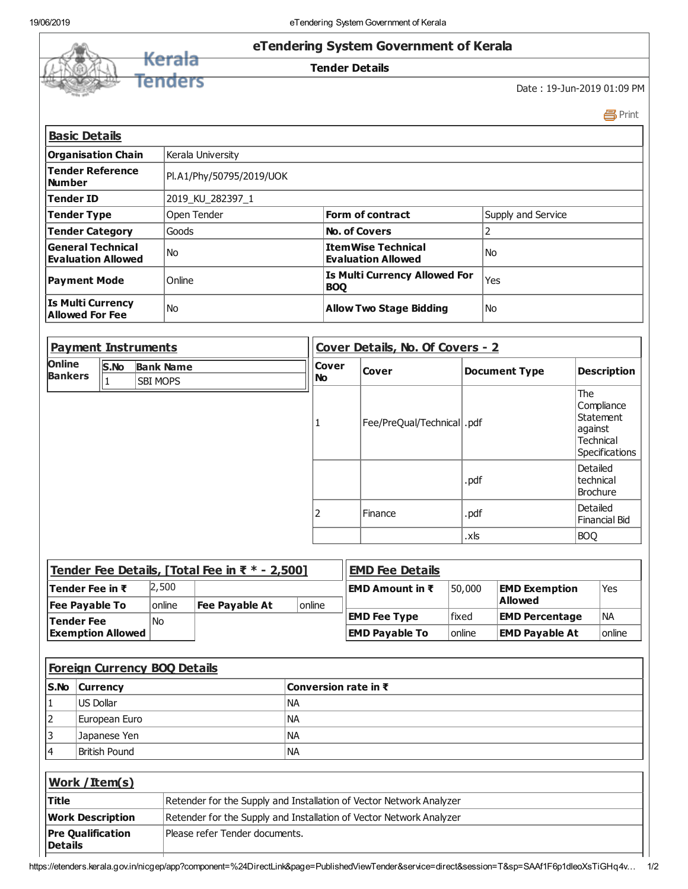

Print

| <b>Basic Details</b>                               |                          |                                                 |                    |
|----------------------------------------------------|--------------------------|-------------------------------------------------|--------------------|
| <b>Organisation Chain</b>                          | Kerala University        |                                                 |                    |
| Tender Reference<br>l Number                       | Pl.A1/Phy/50795/2019/UOK |                                                 |                    |
| Tender ID                                          | 2019 KU 282397 1         |                                                 |                    |
| Tender Type                                        | Open Tender              | <b>Form of contract</b>                         | Supply and Service |
| <b>Tender Category</b>                             | Goods                    | <b>No. of Covers</b>                            |                    |
| General Technical<br>Evaluation Allowed            | l No                     | ItemWise Technical<br><b>Evaluation Allowed</b> | <b>No</b>          |
| <b>Payment Mode</b>                                | Online                   | Is Multi Currency Allowed For<br><b>BOO</b>     | Yes                |
| <b>Is Multi Currency</b><br><b>Allowed For Fee</b> | l No                     | <b>Allow Two Stage Bidding</b>                  | No.                |

| <b>Payment Instruments</b>      |      |                                     | Cover Details, No. Of Covers - 2 |                             |                      |                                                                                 |  |  |
|---------------------------------|------|-------------------------------------|----------------------------------|-----------------------------|----------------------|---------------------------------------------------------------------------------|--|--|
| <b>Online</b><br><b>Bankers</b> | S.No | <b>Bank Name</b><br><b>SBI MOPS</b> | <b>Cover</b><br>  No             | <b>Cover</b>                | <b>Document Type</b> | <b>Description</b>                                                              |  |  |
|                                 |      |                                     |                                  | Fee/PreQual/Technical  .pdf |                      | The<br>Compliance<br>Statement<br>against<br><b>Technical</b><br>Specifications |  |  |
|                                 |      |                                     |                                  |                             | .pdf                 | Detailed<br>Itechnical<br>Brochure                                              |  |  |
|                                 |      |                                     | 2                                | Finance                     | .pdf                 | Detailed<br>Financial Bid                                                       |  |  |
|                                 |      |                                     |                                  |                             | .xls                 | <b>BOQ</b>                                                                      |  |  |

| Tender Fee Details, [Total Fee in $\bar{x}$ * - 2,500] |        |                |                | <b>EMD Fee Details</b> |                     |                       |        |
|--------------------------------------------------------|--------|----------------|----------------|------------------------|---------------------|-----------------------|--------|
| <b>Tender Fee in ₹</b>                                 | 2,500  |                |                | EMD Amount in ₹        | 50,000              | <b>EMD Exemption</b>  | 'Yes   |
| <b>Fee Payable To</b>                                  | online | Fee Payable At | <b>lonline</b> |                        |                     | Allowed               |        |
| Tender Fee                                             | l No   |                |                | <b>EMD Fee Type</b>    | lfixed              | <b>EMD Percentage</b> | l Na   |
| <b>Exemption Allowed</b>                               |        |                |                | <b>EMD Pavable To</b>  | <sup>1</sup> online | <b>EMD Payable At</b> | online |

|                                            | <b>Foreign Currency BOQ Details</b> |                                |                                                                     |
|--------------------------------------------|-------------------------------------|--------------------------------|---------------------------------------------------------------------|
| lS.No                                      | <b>Currency</b>                     |                                | Conversion rate in ₹                                                |
| 11                                         | US Dollar                           |                                | <b>NA</b>                                                           |
| 2                                          | European Euro                       |                                | <b>NA</b>                                                           |
| 3                                          | Japanese Yen                        |                                | <b>NA</b>                                                           |
| 14                                         | <b>British Pound</b>                |                                | <b>NA</b>                                                           |
|                                            |                                     |                                |                                                                     |
|                                            | Work / Item(s)                      |                                |                                                                     |
| Title                                      |                                     |                                | Retender for the Supply and Installation of Vector Network Analyzer |
| <b>Work Description</b>                    |                                     |                                | Retender for the Supply and Installation of Vector Network Analyzer |
| <b>Pre Qualification</b><br><b>Details</b> |                                     | Please refer Tender documents. |                                                                     |

https://etenders.kerala.gov.in/nicgep/app?component=%24DirectLink&page=PublishedViewTender&service=direct&session=T&sp=SAAf1F6p1dleoXsTiGHq4v... 1/2